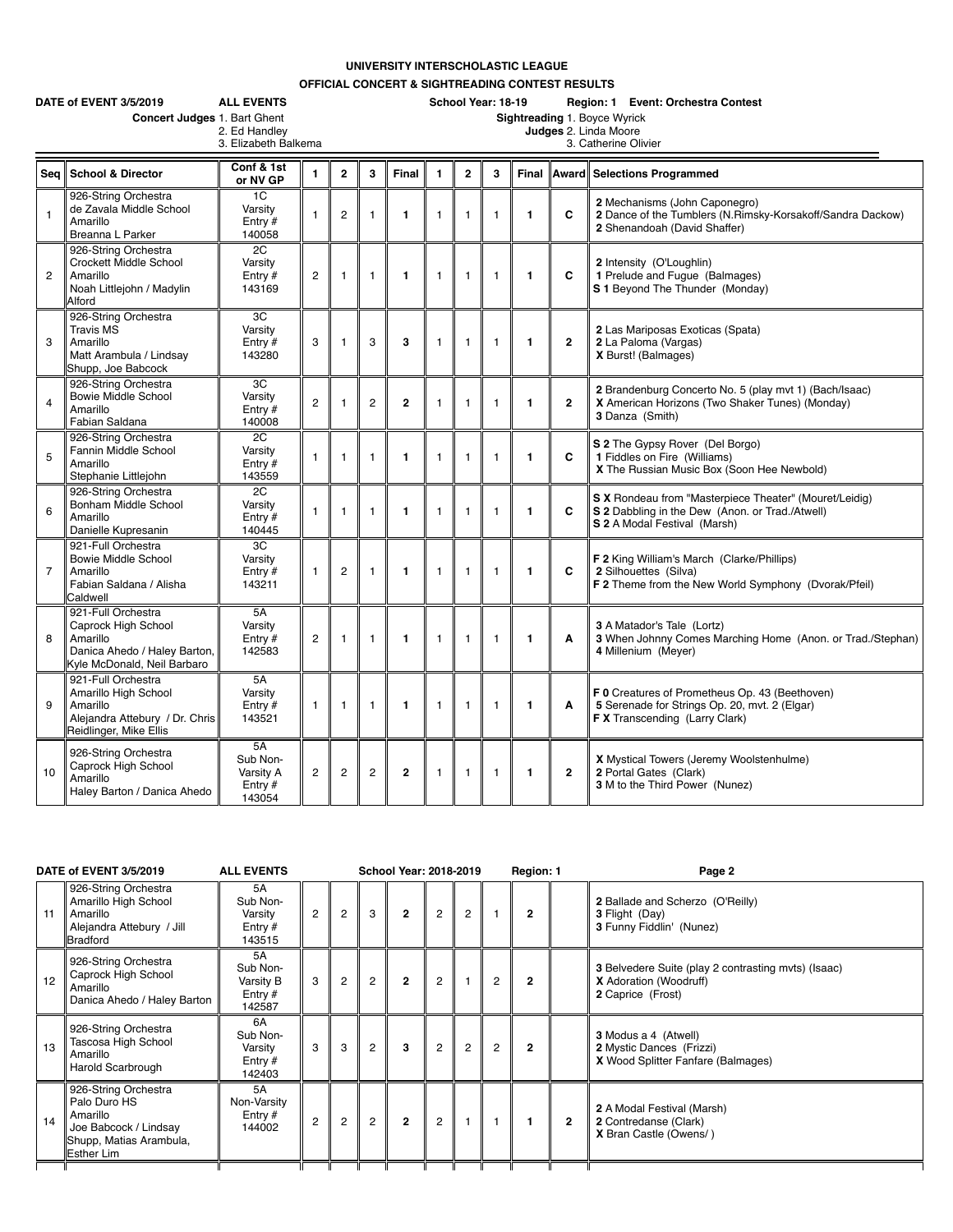## **UNIVERSITY INTERSCHOLASTIC LEAGUE**

**OFFICIAL CONCERT & SIGHTREADING CONTEST RESULTS**

|                | DATE of EVENT 3/5/2019<br>Concert Judges 1. Bart Ghent                                                               | <b>ALL EVENTS</b><br>2. Ed Handley<br>3. Elizabeth Balkema |                |                |                |                         | School Year: 18-19<br>Region: 1 Event: Orchestra Contest<br>Sightreading 1. Boyce Wyrick<br>Judges 2. Linda Moore<br>3. Catherine Olivier |                |                |              |                |                                                                                                                                           |  |  |  |  |
|----------------|----------------------------------------------------------------------------------------------------------------------|------------------------------------------------------------|----------------|----------------|----------------|-------------------------|-------------------------------------------------------------------------------------------------------------------------------------------|----------------|----------------|--------------|----------------|-------------------------------------------------------------------------------------------------------------------------------------------|--|--|--|--|
| Sea            | <b>School &amp; Director</b>                                                                                         | Conf & 1st<br>or NV GP                                     | $\mathbf{1}$   | $\overline{2}$ | 3              | Final                   | 1                                                                                                                                         | $\overline{2}$ | 3              | Final        | Award          | <b>Selections Programmed</b>                                                                                                              |  |  |  |  |
| $\mathbf{1}$   | 926-String Orchestra<br>de Zavala Middle School<br>Amarillo<br>Breanna L Parker                                      | 1C<br>Varsity<br>Entry $#$<br>140058                       | $\mathbf{1}$   | $\overline{c}$ | $\mathbf{1}$   | $\mathbf{1}$            | $\mathbf{1}$                                                                                                                              | $\overline{1}$ | $\mathbf{1}$   | 1            | C              | 2 Mechanisms (John Caponegro)<br>2 Dance of the Tumblers (N.Rimsky-Korsakoff/Sandra Dackow)<br>2 Shenandoah (David Shaffer)               |  |  |  |  |
| $\overline{c}$ | 926-String Orchestra<br>Crockett Middle School<br>Amarillo<br>Noah Littlejohn / Madylin<br>Alford                    | $\overline{2C}$<br>Varsity<br>Entry $#$<br>143169          | $\overline{2}$ | $\mathbf{1}$   | $\mathbf{1}$   | $\mathbf{1}$            | $\mathbf{1}$                                                                                                                              | $\mathbf{1}$   | $\mathbf{1}$   | $\mathbf{1}$ | C              | 2 Intensity (O'Loughlin)<br>1 Prelude and Fugue (Balmages)<br>S 1 Beyond The Thunder (Monday)                                             |  |  |  |  |
| 3              | 926-String Orchestra<br><b>Travis MS</b><br>Amarillo<br>Matt Arambula / Lindsay<br>Shupp, Joe Babcock                | 3C<br>Varsity<br>Entry #<br>143280                         | 3              | $\overline{1}$ | 3              | 3                       | $\mathbf{1}$                                                                                                                              | $\overline{1}$ | $\overline{1}$ | $\mathbf{1}$ | $\overline{2}$ | 2 Las Mariposas Exoticas (Spata)<br>2 La Paloma (Vargas)<br>X Burst! (Balmages)                                                           |  |  |  |  |
| $\overline{4}$ | 926-String Orchestra<br><b>Bowie Middle School</b><br>Amarillo<br>Fabian Saldana                                     | 3C<br>Varsity<br>Entry $#$<br>140008                       | $\overline{2}$ | $\mathbf{1}$   | 2              | $\overline{2}$          | $\mathbf{1}$                                                                                                                              | $\mathbf{1}$   | $\mathbf{1}$   | 1            | $\overline{2}$ | 2 Brandenburg Concerto No. 5 (play mvt 1) (Bach/Isaac)<br>X American Horizons (Two Shaker Tunes) (Monday)<br>3 Danza (Smith)              |  |  |  |  |
| 5              | 926-String Orchestra<br>Fannin Middle School<br>Amarillo<br>Stephanie Littlejohn                                     | 2C<br>Varsity<br>Entry $#$<br>143559                       | $\mathbf{1}$   | $\overline{1}$ | $\mathbf{1}$   | $\blacksquare$          | $\mathbf{1}$                                                                                                                              | $\mathbf{1}$   | $\mathbf{1}$   | $\mathbf{1}$ | C              | S 2 The Gypsy Rover (Del Borgo)<br>1 Fiddles on Fire (Williams)<br>X The Russian Music Box (Soon Hee Newbold)                             |  |  |  |  |
| 6              | 926-String Orchestra<br>Bonham Middle School<br>Amarillo<br>Danielle Kupresanin                                      | 2C<br>Varsity<br>Entry $#$<br>140445                       | $\mathbf{1}$   | $\mathbf{1}$   | $\mathbf{1}$   | $\mathbf{1}$            | $\mathbf{1}$                                                                                                                              | $\mathbf{1}$   | $\mathbf{1}$   | 1            | C              | S X Rondeau from "Masterpiece Theater" (Mouret/Leidig)<br>S 2 Dabbling in the Dew (Anon. or Trad./Atwell)<br>S 2 A Modal Festival (Marsh) |  |  |  |  |
| $\overline{7}$ | 921-Full Orchestra<br><b>Bowie Middle School</b><br>Amarillo<br>Fabian Saldana / Alisha<br>Caldwell                  | 3C<br>Varsity<br>Entry $#$<br>143211                       | $\mathbf{1}$   | $\overline{c}$ | 1              | $\mathbf{1}$            | $\mathbf{1}$                                                                                                                              | $\mathbf{1}$   | $\mathbf{1}$   | $\mathbf{1}$ | C              | F 2 King William's March (Clarke/Phillips)<br>2 Silhouettes (Silva)<br>F 2 Theme from the New World Symphony (Dvorak/Pfeil)               |  |  |  |  |
| 8              | 921-Full Orchestra<br>Caprock High School<br>Amarillo<br>Danica Ahedo / Haley Barton,<br>Kyle McDonald, Neil Barbaro | 5A<br>Varsity<br>Entry #<br>142583                         | $\overline{c}$ | 1              | $\mathbf{1}$   | $\mathbf{1}$            | 1                                                                                                                                         | $\mathbf{1}$   | $\mathbf{1}$   | $\mathbf{1}$ | A              | 3 A Matador's Tale (Lortz)<br>3 When Johnny Comes Marching Home (Anon. or Trad./Stephan)<br>4 Millenium (Meyer)                           |  |  |  |  |
| 9              | 921-Full Orchestra<br>Amarillo High School<br>Amarillo<br>Alejandra Attebury / Dr. Chris<br>Reidlinger, Mike Ellis   | 5A<br>Varsity<br>Entry $#$<br>143521                       | $\mathbf{1}$   | $\mathbf{1}$   | $\mathbf{1}$   | $\mathbf{1}$            | 1                                                                                                                                         | $\mathbf{1}$   | $\mathbf{1}$   | 1            | A              | F 0 Creatures of Prometheus Op. 43 (Beethoven)<br>5 Serenade for Strings Op. 20, mvt. 2 (Elgar)<br>F X Transcending (Larry Clark)         |  |  |  |  |
| 10             | 926-String Orchestra<br>Caprock High School<br>Amarillo<br>Haley Barton / Danica Ahedo                               | 5A<br>Sub Non-<br>Varsity A<br>Entry $#$<br>143054         | $\overline{c}$ | $\overline{c}$ | $\overline{c}$ | $\overline{\mathbf{c}}$ | 1                                                                                                                                         | $\mathbf{1}$   | $\mathbf{1}$   | 1            | $\overline{2}$ | X Mystical Towers (Jeremy Woolstenhulme)<br>2 Portal Gates (Clark)<br>3 M to the Third Power (Nunez)                                      |  |  |  |  |

|    | DATE of EVENT 3/5/2019                                                                                                    | <b>ALL EVENTS</b>                                  |                |                |                | <b>School Year: 2018-2019</b> |                |                |                | Region: 1      |                | Page 2                                                                                                           |
|----|---------------------------------------------------------------------------------------------------------------------------|----------------------------------------------------|----------------|----------------|----------------|-------------------------------|----------------|----------------|----------------|----------------|----------------|------------------------------------------------------------------------------------------------------------------|
| 11 | 926-String Orchestra<br>Amarillo High School<br>Amarillo<br>Alejandra Attebury / Jill<br><b>Bradford</b>                  | 5A<br>Sub Non-<br>Varsity<br>Entry $#$<br>143515   | $\overline{2}$ | $\overline{2}$ | 3              | $\overline{2}$                | $\overline{2}$ | $\overline{2}$ |                | $\overline{2}$ |                | 2 Ballade and Scherzo (O'Reilly)<br>3 Flight (Day)<br>3 Funny Fiddlin' (Nunez)                                   |
| 12 | 926-String Orchestra<br>Caprock High School<br>Amarillo<br>Danica Ahedo / Haley Barton                                    | 5A<br>Sub Non-<br>Varsity B<br>Entry $#$<br>142587 | 3              | $\overline{2}$ | $\overline{c}$ | $\mathbf{2}$                  | $\overline{2}$ |                | $\overline{2}$ | $\overline{2}$ |                | <b>3</b> Belvedere Suite (play 2 contrasting myts) (Isaac)<br><b>X</b> Adoration (Woodruff)<br>2 Caprice (Frost) |
| 13 | 926-String Orchestra<br>Tascosa High School<br>Amarillo<br>Harold Scarbrough                                              | 6A<br>Sub Non-<br>Varsity<br>Entry $#$<br>142403   | 3              | 3              | $\overline{2}$ | 3                             | $\overline{2}$ | $\overline{2}$ | $\overline{2}$ | $\overline{2}$ |                | 3 Modus a 4 (Atwell)<br>2 Mystic Dances (Frizzi)<br>X Wood Splitter Fanfare (Balmages)                           |
| 14 | 926-String Orchestra<br>Palo Duro HS<br>Amarillo<br>Joe Babcock / Lindsay<br>Shupp, Matias Arambula,<br><b>Esther Lim</b> | 5A<br>Non-Varsity<br>Entry $#$<br>144002           | $\overline{2}$ | $\overline{2}$ | $\overline{2}$ | $\mathfrak{p}$                | $\overline{2}$ |                |                |                | $\overline{2}$ | 2 A Modal Festival (Marsh)<br>2 Contredanse (Clark)<br>X Bran Castle (Owens/)                                    |
|    |                                                                                                                           |                                                    |                |                |                |                               |                |                |                |                |                |                                                                                                                  |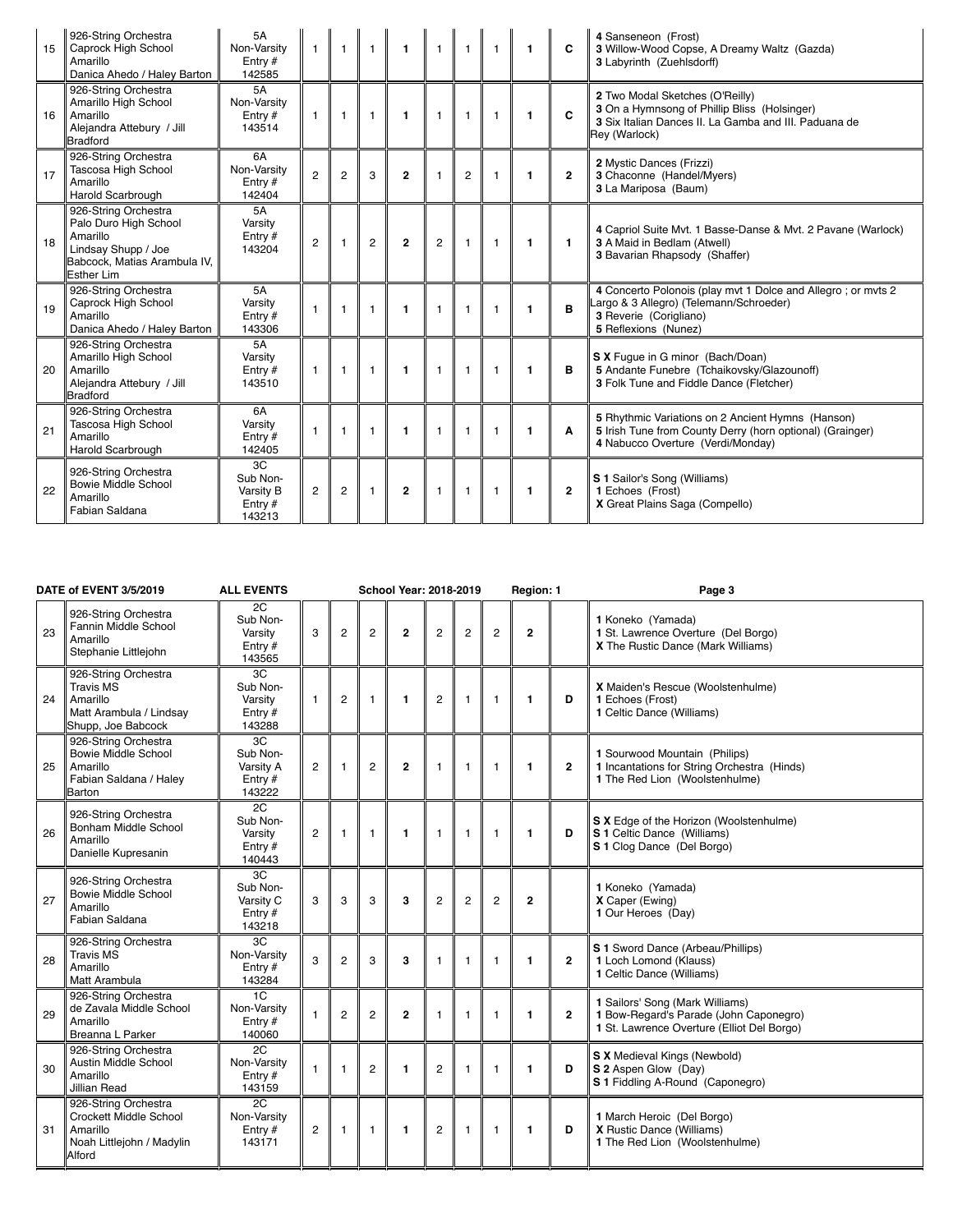| 15 | 926-String Orchestra<br>Caprock High School<br>Amarillo<br>Danica Ahedo / Haley Barton                                                | 5A<br>Non-Varsity<br>Entry $#$<br>142585           |                | $\overline{1}$ | -1             | $\mathbf{1}$   | $\overline{1}$ | $\overline{1}$ | $\overline{1}$ | $\mathbf{1}$ | C              | 4 Sanseneon (Frost)<br>3 Willow-Wood Copse, A Dreamy Waltz (Gazda)<br>3 Labyrinth (Zuehlsdorff)                                                           |
|----|---------------------------------------------------------------------------------------------------------------------------------------|----------------------------------------------------|----------------|----------------|----------------|----------------|----------------|----------------|----------------|--------------|----------------|-----------------------------------------------------------------------------------------------------------------------------------------------------------|
| 16 | 926-String Orchestra<br>Amarillo High School<br>Amarillo<br>Alejandra Attebury / Jill<br><b>Bradford</b>                              | 5A<br>Non-Varsity<br>Entry $#$<br>143514           |                | $\mathbf{1}$   | $\mathbf{1}$   | $\mathbf{1}$   | 1              | $\overline{1}$ | $\overline{1}$ | $\mathbf{1}$ | C              | 2 Two Modal Sketches (O'Reilly)<br>3 On a Hymnsong of Phillip Bliss (Holsinger)<br>3 Six Italian Dances II. La Gamba and III. Paduana de<br>Rev (Warlock) |
| 17 | 926-String Orchestra<br>Tascosa High School<br>Amarillo<br><b>Harold Scarbrough</b>                                                   | 6A<br>Non-Varsity<br>Entry $#$<br>142404           | $\overline{2}$ | $\overline{c}$ | 3              | $\mathbf{2}$   | 1              | $\overline{2}$ | $\overline{1}$ | $\mathbf{1}$ | $\overline{2}$ | 2 Mystic Dances (Frizzi)<br>3 Chaconne (Handel/Myers)<br>3 La Mariposa (Baum)                                                                             |
| 18 | 926-String Orchestra<br>Palo Duro High School<br>Amarillo<br>Lindsay Shupp / Joe<br>Babcock, Matias Arambula IV,<br><b>Esther Lim</b> | 5A<br>Varsity<br>Entry $#$<br>143204               | $\overline{2}$ | $\overline{1}$ | $\overline{2}$ | $\mathbf{2}$   | $\overline{2}$ | $\overline{1}$ | $\overline{1}$ | $\mathbf{1}$ | $\mathbf{1}$   | 4 Capriol Suite Mvt. 1 Basse-Danse & Mvt. 2 Pavane (Warlock)<br>3 A Maid in Bedlam (Atwell)<br>3 Bavarian Rhapsody (Shaffer)                              |
| 19 | 926-String Orchestra<br>Caprock High School<br>Amarillo<br>Danica Ahedo / Haley Barton                                                | <b>5A</b><br>Varsity<br>Entry $#$<br>143306        |                | $\mathbf{1}$   | $\mathbf{1}$   | $\blacksquare$ | 1              | $\overline{1}$ | $\overline{1}$ | $\mathbf{1}$ | B              | 4 Concerto Polonois (play mvt 1 Dolce and Allegro; or mvts 2<br>Largo & 3 Allegro) (Telemann/Schroeder)<br>3 Reverie (Corigliano)<br>5 Reflexions (Nunez) |
| 20 | 926-String Orchestra<br>Amarillo High School<br>Amarillo<br>Alejandra Attebury / Jill<br><b>Bradford</b>                              | 5A<br>Varsity<br>Entry $#$<br>143510               |                | $\overline{1}$ | $\mathbf{1}$   | $\mathbf{1}$   | $\mathbf{1}$   | $\overline{1}$ | $\overline{1}$ | $\mathbf{1}$ | в              | S X Fugue in G minor (Bach/Doan)<br>5 Andante Funebre (Tchaikovsky/Glazounoff)<br>3 Folk Tune and Fiddle Dance (Fletcher)                                 |
| 21 | 926-String Orchestra<br>Tascosa High School<br>Amarillo<br>Harold Scarbrough                                                          | 6A<br>Varsity<br>Entry #<br>142405                 | $\mathbf{1}$   | $\overline{1}$ | $\overline{1}$ | $\blacksquare$ | 1              | $\overline{1}$ | $\overline{1}$ | $\mathbf{1}$ | A              | 5 Rhythmic Variations on 2 Ancient Hymns (Hanson)<br>5 Irish Tune from County Derry (horn optional) (Grainger)<br>4 Nabucco Overture (Verdi/Monday)       |
| 22 | 926-String Orchestra<br><b>Bowie Middle School</b><br>Amarillo<br>Fabian Saldana                                                      | 3C<br>Sub Non-<br>Varsity B<br>Entry $#$<br>143213 | $\overline{2}$ | $\overline{2}$ | $\mathbf{1}$   | $\overline{2}$ | 1              | $\overline{1}$ | $\overline{1}$ | $\mathbf{1}$ | $\overline{2}$ | S 1 Sailor's Song (Williams)<br>1 Echoes (Frost)<br>X Great Plains Saga (Compello)                                                                        |

| DATE of EVENT 3/5/2019 |                                                                                                           | <b>ALL EVENTS</b>                                  |                |                | <b>School Year: 2018-2019</b> |                |                |                |                | Region: 1    |                | Page 3                                                                                                                  |
|------------------------|-----------------------------------------------------------------------------------------------------------|----------------------------------------------------|----------------|----------------|-------------------------------|----------------|----------------|----------------|----------------|--------------|----------------|-------------------------------------------------------------------------------------------------------------------------|
| 23                     | 926-String Orchestra<br>Fannin Middle School<br>Amarillo<br>Stephanie Littlejohn                          | 2C<br>Sub Non-<br>Varsity<br>Entry $#$<br>143565   | 3              | $\overline{2}$ | $\overline{2}$                | $\overline{2}$ | $\overline{c}$ | $\overline{c}$ | $\overline{2}$ | $\mathbf{2}$ |                | 1 Koneko (Yamada)<br>1 St. Lawrence Overture (Del Borgo)<br>X The Rustic Dance (Mark Williams)                          |
| 24                     | 926-String Orchestra<br><b>Travis MS</b><br>Amarillo<br>Matt Arambula / Lindsay<br>Shupp, Joe Babcock     | 3C<br>Sub Non-<br>Varsity<br>Entry $#$<br>143288   | $\overline{1}$ | $\overline{c}$ | $\mathbf{1}$                  | $\mathbf{1}$   | $\overline{c}$ | $\mathbf{1}$   | $\mathbf{1}$   | $\mathbf{1}$ | D              | X Maiden's Rescue (Woolstenhulme)<br>1 Echoes (Frost)<br>1 Celtic Dance (Williams)                                      |
| 25                     | 926-String Orchestra<br><b>Bowie Middle School</b><br>Amarillo<br>Fabian Saldana / Haley<br><b>Barton</b> | 3C<br>Sub Non-<br>Varsity A<br>Entry $#$<br>143222 | $\overline{2}$ | $\overline{1}$ | $\overline{c}$                | $\overline{2}$ | $\mathbf{1}$   | $\mathbf{1}$   | $\overline{1}$ | $\mathbf{1}$ | $\overline{2}$ | 1 Sourwood Mountain (Philips)<br>1 Incantations for String Orchestra (Hinds)<br>1 The Red Lion (Woolstenhulme)          |
| 26                     | 926-String Orchestra<br>Bonham Middle School<br>Amarillo<br>Danielle Kupresanin                           | 2C<br>Sub Non-<br>Varsitv<br>Entry $#$<br>140443   | $\overline{2}$ | $\mathbf{1}$   | $\mathbf{1}$                  | $\mathbf{1}$   | $\mathbf{1}$   | $\mathbf{1}$   | $\mathbf{1}$   | $\mathbf{1}$ | D              | S X Edge of the Horizon (Woolstenhulme)<br>S 1 Celtic Dance (Williams)<br>S 1 Clog Dance (Del Borgo)                    |
| 27                     | 926-String Orchestra<br><b>Bowie Middle School</b><br>Amarillo<br>Fabian Saldana                          | 3C<br>Sub Non-<br>Varsity C<br>Entry $#$<br>143218 | 3              | 3              | 3                             | 3              | $\overline{c}$ | $\overline{c}$ | $\overline{2}$ | $\mathbf{2}$ |                | 1 Koneko (Yamada)<br>X Caper (Ewing)<br>1 Our Heroes (Day)                                                              |
| 28                     | 926-String Orchestra<br><b>Travis MS</b><br>Amarillo<br>Matt Arambula                                     | 3C<br>Non-Varsity<br>Entry $#$<br>143284           | 3              | $\overline{2}$ | 3                             | 3              | $\mathbf{1}$   | $\mathbf{1}$   | 1              | 1            | $\overline{2}$ | S 1 Sword Dance (Arbeau/Phillips)<br>1 Loch Lomond (Klauss)<br>1 Celtic Dance (Williams)                                |
| 29                     | 926-String Orchestra<br>de Zavala Middle School<br>Amarillo<br><b>Breanna L Parker</b>                    | 1C<br>Non-Varsity<br>Entry #<br>140060             | 1              | $\overline{2}$ | $\overline{2}$                | $\overline{2}$ | 1              | $\mathbf{1}$   | $\mathbf{1}$   | 1            | $\overline{2}$ | 1 Sailors' Song (Mark Williams)<br>1 Bow-Regard's Parade (John Caponegro)<br>1 St. Lawrence Overture (Elliot Del Borgo) |
| 30                     | 926-String Orchestra<br>Austin Middle School<br>Amarillo<br><b>Jillian Read</b>                           | 2C<br>Non-Varsity<br>Entry $#$<br>143159           | $\overline{1}$ | $\mathbf{1}$   | $\overline{c}$                | $\mathbf{1}$   | $\overline{c}$ | $\mathbf{1}$   | $\mathbf{1}$   | 1            | D              | S X Medieval Kings (Newbold)<br>S 2 Aspen Glow (Day)<br>S 1 Fiddling A-Round (Caponegro)                                |
| 31                     | 926-String Orchestra<br>Crockett Middle School<br>Amarillo<br>Noah Littlejohn / Madylin<br>Alford         | 2C<br>Non-Varsity<br>Entry $#$<br>143171           | $\overline{2}$ | $\overline{1}$ | $\overline{1}$                | $\mathbf{1}$   | $\overline{c}$ | $\mathbf{1}$   | $\mathbf{1}$   | $\mathbf{1}$ | D              | 1 March Heroic (Del Borgo)<br>X Rustic Dance (Williams)<br>1 The Red Lion (Woolstenhulme)                               |